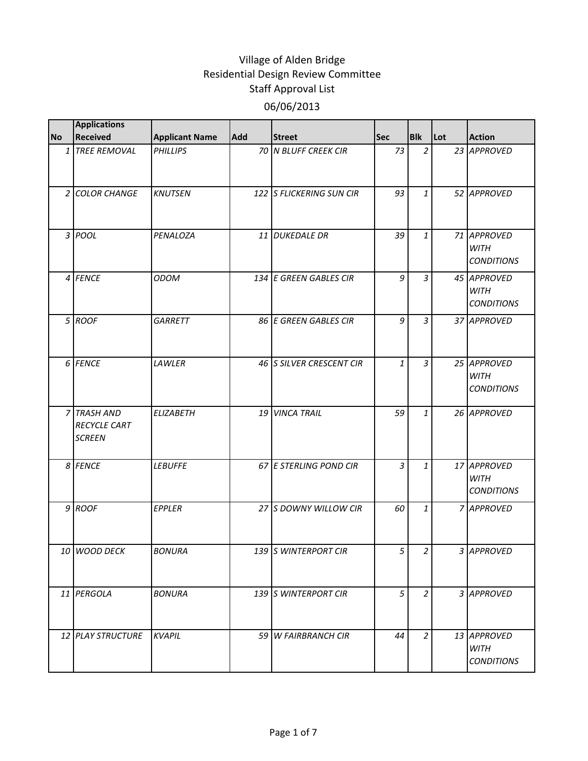| <b>No</b>      | <b>Applications</b><br><b>Received</b>              | <b>Applicant Name</b> | Add | <b>Street</b>            | <b>Sec</b>     | <b>Blk</b>     | Lot | <b>Action</b>                                   |
|----------------|-----------------------------------------------------|-----------------------|-----|--------------------------|----------------|----------------|-----|-------------------------------------------------|
|                | 1 TREE REMOVAL                                      | <b>PHILLIPS</b>       |     | 70 N BLUFF CREEK CIR     | 73             | $\overline{2}$ |     | 23 APPROVED                                     |
| $\overline{2}$ | <b>COLOR CHANGE</b>                                 | <b>KNUTSEN</b>        |     | 122 S FLICKERING SUN CIR | 93             | $\mathbf{1}$   |     | 52 APPROVED                                     |
|                | 3 POOL                                              | PENALOZA              |     | 11 DUKEDALE DR           | 39             | $\mathbf{1}$   |     | 71 APPROVED<br><b>WITH</b><br><b>CONDITIONS</b> |
|                | 4 FENCE                                             | <b>ODOM</b>           |     | 134 E GREEN GABLES CIR   | 9              | $\overline{3}$ |     | 45 APPROVED<br><b>WITH</b><br><b>CONDITIONS</b> |
|                | 5 ROOF                                              | <b>GARRETT</b>        |     | 86 E GREEN GABLES CIR    | 9              | $\overline{3}$ |     | 37 APPROVED                                     |
|                | 6 FENCE                                             | LAWLER                |     | 46 S SILVER CRESCENT CIR | 1              | $\overline{3}$ |     | 25 APPROVED<br><b>WITH</b><br><b>CONDITIONS</b> |
|                | 7 TRASH AND<br><b>RECYCLE CART</b><br><b>SCREEN</b> | <b>ELIZABETH</b>      | 19  | <b>VINCA TRAIL</b>       | 59             | $\mathbf{1}$   |     | 26 APPROVED                                     |
|                | 8 FENCE                                             | <b>LEBUFFE</b>        |     | 67 E STERLING POND CIR   | $\overline{3}$ | $\mathbf{1}$   |     | 17 APPROVED<br><b>WITH</b><br><b>CONDITIONS</b> |
|                | 9 ROOF                                              | EPPLER                |     | 27 S DOWNY WILLOW CIR    | 60             | 1              |     | 7 APPROVED                                      |
|                | 10 WOOD DECK                                        | <b>BONURA</b>         |     | 139 S WINTERPORT CIR     | 5              | $\mathcal{P}$  |     | 3 APPROVED                                      |
|                | 11 PERGOLA                                          | <b>BONURA</b>         |     | 139 S WINTERPORT CIR     | 5              | $\overline{a}$ |     | 3 APPROVED                                      |
|                | 12 PLAY STRUCTURE                                   | <b>KVAPIL</b>         |     | 59 W FAIRBRANCH CIR      | 44             | $\overline{a}$ |     | 13 APPROVED<br><b>WITH</b><br><b>CONDITIONS</b> |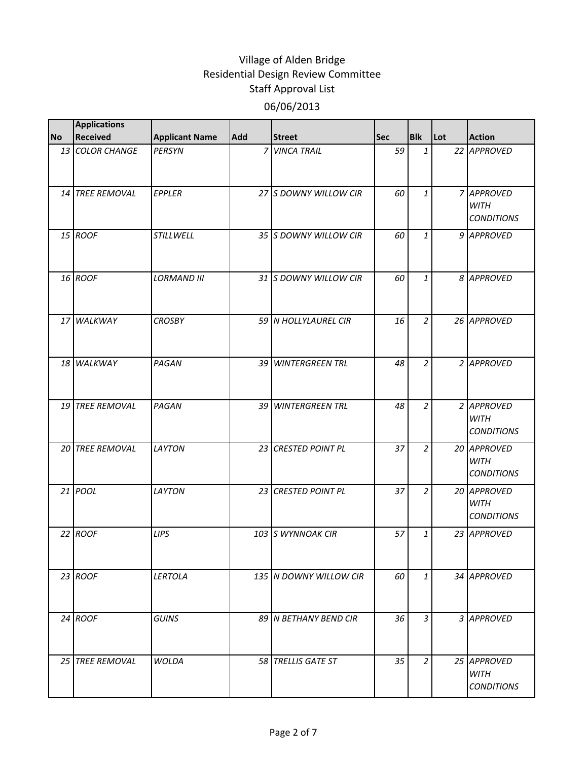|           | <b>Applications</b> |                       |     |                         |            |                |     |                                                 |
|-----------|---------------------|-----------------------|-----|-------------------------|------------|----------------|-----|-------------------------------------------------|
| <b>No</b> | <b>Received</b>     | <b>Applicant Name</b> | Add | <b>Street</b>           | <b>Sec</b> | <b>Blk</b>     | Lot | <b>Action</b>                                   |
|           | 13 COLOR CHANGE     | <b>PERSYN</b>         |     | 7 VINCA TRAIL           | 59         | $\mathbf{1}$   |     | 22 APPROVED                                     |
|           | 14 TREE REMOVAL     | <b>EPPLER</b>         |     | 27 S DOWNY WILLOW CIR   | 60         | $\mathbf{1}$   |     | 7 APPROVED<br><b>WITH</b><br><b>CONDITIONS</b>  |
|           | 15 ROOF             | STILLWELL             |     | 35 S DOWNY WILLOW CIR   | 60         | $\mathbf{1}$   |     | 9 APPROVED                                      |
|           | 16 ROOF             | <b>LORMAND III</b>    |     | 31 S DOWNY WILLOW CIR   | 60         | $\mathbf{1}$   |     | 8 APPROVED                                      |
|           | 17 WALKWAY          | <b>CROSBY</b>         |     | 59 N HOLLYLAUREL CIR    | 16         | $\overline{a}$ |     | 26 APPROVED                                     |
|           | 18 WALKWAY          | PAGAN                 |     | 39 WINTERGREEN TRL      | 48         | $\overline{a}$ |     | 2 APPROVED                                      |
|           | 19 TREE REMOVAL     | PAGAN                 |     | 39 WINTERGREEN TRL      | 48         | $\overline{a}$ |     | 2 APPROVED<br><b>WITH</b><br><b>CONDITIONS</b>  |
|           | 20 TREE REMOVAL     | LAYTON                | 23  | <b>CRESTED POINT PL</b> | 37         | $\overline{a}$ |     | 20 APPROVED<br><b>WITH</b><br><b>CONDITIONS</b> |
|           | 21 <i>POOL</i>      | LAYTON                |     | 23 CRESTED POINT PL     | 37         | $\overline{a}$ |     | 20 APPROVED<br><b>WITH</b><br><b>CONDITIONS</b> |
|           | 22 ROOF             | <b>LIPS</b>           |     | 103 S WYNNOAK CIR       | 57         | $\mathbf{1}$   |     | 23 APPROVED                                     |
|           | 23 ROOF             | LERTOLA               |     | 135 N DOWNY WILLOW CIR  | 60         | $\mathbf{1}$   |     | 34 APPROVED                                     |
|           | $24$ ROOF           | <b>GUINS</b>          |     | 89 IN BETHANY BEND CIR  | 36         | $\overline{3}$ |     | 3 APPROVED                                      |
|           | 25 TREE REMOVAL     | WOLDA                 |     | 58 TRELLIS GATE ST      | 35         | 2              |     | 25 APPROVED<br><b>WITH</b><br><b>CONDITIONS</b> |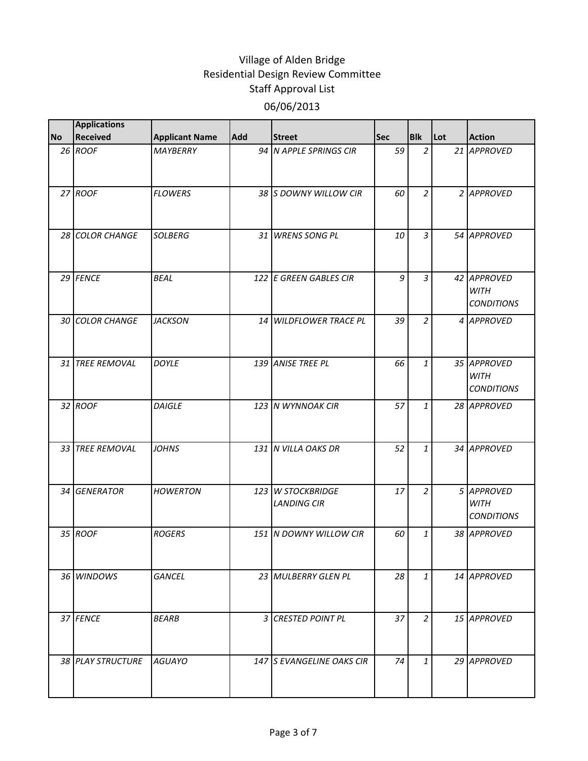|           | <b>Applications</b> |                       |            |                                         |            |                |     |                                                 |
|-----------|---------------------|-----------------------|------------|-----------------------------------------|------------|----------------|-----|-------------------------------------------------|
| <b>No</b> | <b>Received</b>     | <b>Applicant Name</b> | <b>Add</b> | <b>Street</b>                           | <b>Sec</b> | <b>Blk</b>     | Lot | <b>Action</b>                                   |
|           | 26 ROOF             | MAYBERRY              |            | 94 N APPLE SPRINGS CIR                  | 59         | $\overline{2}$ |     | 21 APPROVED                                     |
|           | 27 ROOF             | <b>FLOWERS</b>        |            | 38 S DOWNY WILLOW CIR                   | 60         | $\overline{2}$ |     | 2 APPROVED                                      |
|           | 28 COLOR CHANGE     | <b>SOLBERG</b>        |            | 31 WRENS SONG PL                        | 10         | $\mathfrak{Z}$ |     | 54 APPROVED                                     |
|           | 29 FENCE            | <b>BEAL</b>           |            | 122 E GREEN GABLES CIR                  | 9          | $\overline{3}$ |     | 42 APPROVED<br><b>WITH</b><br><b>CONDITIONS</b> |
|           | 30 COLOR CHANGE     | <b>JACKSON</b>        |            | 14 WILDFLOWER TRACE PL                  | 39         | $\overline{2}$ |     | 4 APPROVED                                      |
|           | 31 TREE REMOVAL     | <b>DOYLE</b>          |            | 139 ANISE TREE PL                       | 66         | $\mathbf{1}$   |     | 35 APPROVED<br><b>WITH</b><br><b>CONDITIONS</b> |
|           | 32 ROOF             | <b>DAIGLE</b>         |            | 123 N WYNNOAK CIR                       | 57         | $\mathbf{1}$   |     | 28 APPROVED                                     |
|           | 33 TREE REMOVAL     | <b>JOHNS</b>          |            | 131 N VILLA OAKS DR                     | 52         | $\mathbf{1}$   |     | 34 APPROVED                                     |
|           | 34 GENERATOR        | <b>HOWERTON</b>       |            | 123 W STOCKBRIDGE<br><b>LANDING CIR</b> | 17         | $\overline{2}$ |     | 5 APPROVED<br><b>WITH</b><br><b>CONDITIONS</b>  |
|           | 35 ROOF             | <b>ROGERS</b>         |            | 151 N DOWNY WILLOW CIR                  | 60         | $\mathbf{1}$   |     | 38 APPROVED                                     |
|           | 36 WINDOWS          | <b>GANCEL</b>         |            | 23 MULBERRY GLEN PL                     | 28         | $\mathbf{1}$   |     | 14 APPROVED                                     |
|           | 37 FENCE            | <b>BEARB</b>          |            | 3 CRESTED POINT PL                      | 37         | $\overline{2}$ |     | 15 APPROVED                                     |
|           | 38 PLAY STRUCTURE   | <b>AGUAYO</b>         |            | 147 S EVANGELINE OAKS CIR               | 74         | $\mathbf{1}$   |     | 29 APPROVED                                     |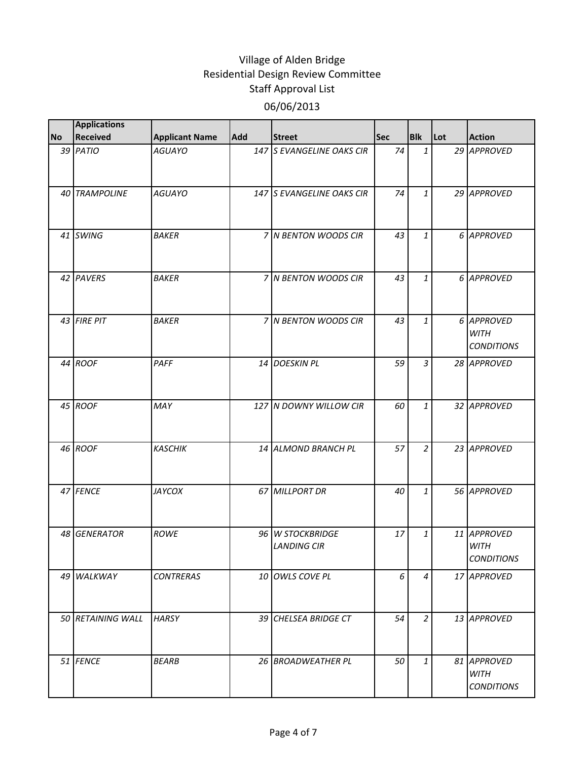| <b>No</b> | <b>Applications</b><br>Received | <b>Applicant Name</b> | Add | <b>Street</b>                          | <b>Sec</b> | <b>Blk</b>     | Lot | <b>Action</b>                                   |
|-----------|---------------------------------|-----------------------|-----|----------------------------------------|------------|----------------|-----|-------------------------------------------------|
|           | 39 PATIO                        | <b>AGUAYO</b>         |     | 147 S EVANGELINE OAKS CIR              | 74         | $\mathbf{1}$   |     | 29 APPROVED                                     |
|           |                                 |                       |     |                                        |            |                |     |                                                 |
|           | <b>40 TRAMPOLINE</b>            | <b>AGUAYO</b>         |     | 147 S EVANGELINE OAKS CIR              | 74         | $\mathbf{1}$   |     | 29 APPROVED                                     |
|           | 41 SWING                        | <b>BAKER</b>          |     | 7 N BENTON WOODS CIR                   | 43         | $\mathbf{1}$   |     | 6 APPROVED                                      |
|           | 42 PAVERS                       | <b>BAKER</b>          |     | 7 N BENTON WOODS CIR                   | 43         | $\mathbf{1}$   |     | 6 APPROVED                                      |
|           | 43 FIRE PIT                     | <b>BAKER</b>          |     | 7 N BENTON WOODS CIR                   | 43         | $\mathbf{1}$   |     | 6 APPROVED<br><b>WITH</b><br><b>CONDITIONS</b>  |
|           | 44 ROOF                         | PAFF                  | 14  | <b>DOESKIN PL</b>                      | 59         | $\overline{3}$ |     | 28 APPROVED                                     |
|           | 45 ROOF                         | MAY                   |     | 127 N DOWNY WILLOW CIR                 | 60         | $\mathbf{1}$   |     | 32 APPROVED                                     |
|           | 46 ROOF                         | <b>KASCHIK</b>        |     | 14 ALMOND BRANCH PL                    | 57         | $\overline{a}$ |     | 23 APPROVED                                     |
|           | 47 FENCE                        | JAYCOX                |     | 67 MILLPORT DR                         | 40         | $\mathbf{1}$   |     | 56 APPROVED                                     |
|           | 48 GENERATOR                    | <b>ROWE</b>           |     | 96 W STOCKBRIDGE<br><b>LANDING CIR</b> | 17         | $\mathbf{1}$   |     | 11 APPROVED<br><b>WITH</b><br><b>CONDITIONS</b> |
|           | 49 WALKWAY                      | <b>CONTRERAS</b>      |     | 10 OWLS COVE PL                        | 6          | 4              |     | 17 APPROVED                                     |
|           | 50 RETAINING WALL               | <b>HARSY</b>          |     | 39 CHELSEA BRIDGE CT                   | 54         | $\overline{a}$ |     | 13 APPROVED                                     |
|           | 51 FENCE                        | <b>BEARB</b>          |     | 26 BROADWEATHER PL                     | 50         | $\mathbf{1}$   |     | 81 APPROVED<br><b>WITH</b><br><b>CONDITIONS</b> |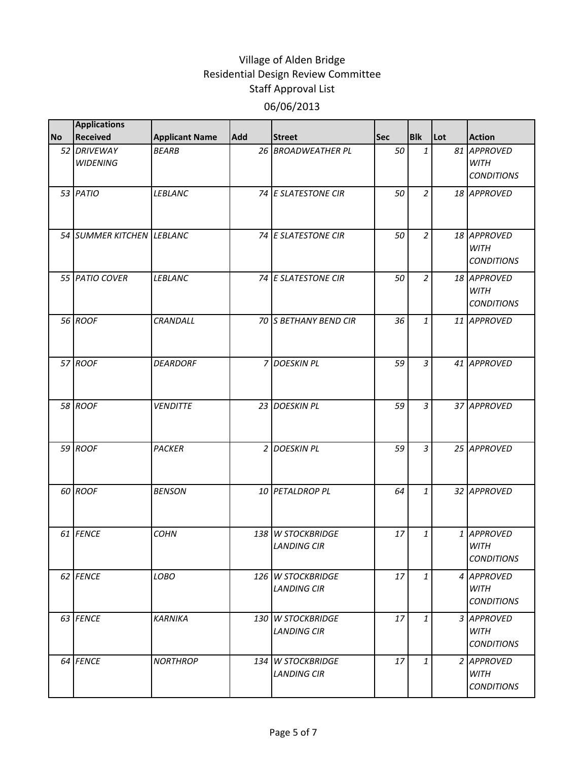|           | <b>Applications</b>            |                       |            |                                         |            |                |     |                                                 |
|-----------|--------------------------------|-----------------------|------------|-----------------------------------------|------------|----------------|-----|-------------------------------------------------|
| <b>No</b> | <b>Received</b>                | <b>Applicant Name</b> | <b>Add</b> | <b>Street</b>                           | <b>Sec</b> | <b>Blk</b>     | Lot | <b>Action</b>                                   |
|           | 52 DRIVEWAY<br><b>WIDENING</b> | <b>BEARB</b>          |            | 26 BROADWEATHER PL                      | 50         | $\mathbf{1}$   |     | 81 APPROVED<br><b>WITH</b><br><b>CONDITIONS</b> |
|           | 53 PATIO                       | LEBLANC               |            | 74 E SLATESTONE CIR                     | 50         | $\overline{2}$ |     | 18 APPROVED                                     |
|           | 54 SUMMER KITCHEN LEBLANC      |                       |            | 74 E SLATESTONE CIR                     | 50         | $\overline{a}$ |     | 18 APPROVED<br><b>WITH</b><br><b>CONDITIONS</b> |
|           | 55 PATIO COVER                 | LEBLANC               |            | 74 E SLATESTONE CIR                     | 50         | $\overline{2}$ |     | 18 APPROVED<br><b>WITH</b><br><b>CONDITIONS</b> |
|           | 56 ROOF                        | CRANDALL              |            | 70 S BETHANY BEND CIR                   | 36         | $\mathbf{1}$   |     | 11 APPROVED                                     |
|           | 57 ROOF                        | <b>DEARDORF</b>       |            | 7 DOESKIN PL                            | 59         | 3              |     | 41 APPROVED                                     |
|           | 58 ROOF                        | <b>VENDITTE</b>       |            | 23 DOESKIN PL                           | 59         | $\overline{3}$ |     | 37 APPROVED                                     |
|           | 59 ROOF                        | <b>PACKER</b>         |            | 2 DOESKIN PL                            | 59         | $\overline{3}$ |     | 25 APPROVED                                     |
|           | 60 ROOF                        | <b>BENSON</b>         |            | 10 PETALDROP PL                         | 64         | $\mathbf{1}$   |     | 32 APPROVED                                     |
|           | 61 FENCE                       | <b>COHN</b>           |            | 138 W STOCKBRIDGE<br><b>LANDING CIR</b> | 17         | $\mathbf{1}$   |     | 1 APPROVED<br><b>WITH</b><br><b>CONDITIONS</b>  |
|           | 62 FENCE                       | LOBO                  |            | 126 W STOCKBRIDGE<br><b>LANDING CIR</b> | 17         | $\mathbf{1}$   |     | 4 APPROVED<br><b>WITH</b><br><b>CONDITIONS</b>  |
|           | 63 FENCE                       | <b>KARNIKA</b>        |            | 130 W STOCKBRIDGE<br><b>LANDING CIR</b> | 17         | $\mathbf{1}$   |     | 3 APPROVED<br><b>WITH</b><br><b>CONDITIONS</b>  |
|           | 64 FENCE                       | <b>NORTHROP</b>       |            | 134 W STOCKBRIDGE<br><b>LANDING CIR</b> | 17         | $\mathbf{1}$   |     | 2 APPROVED<br><b>WITH</b><br><b>CONDITIONS</b>  |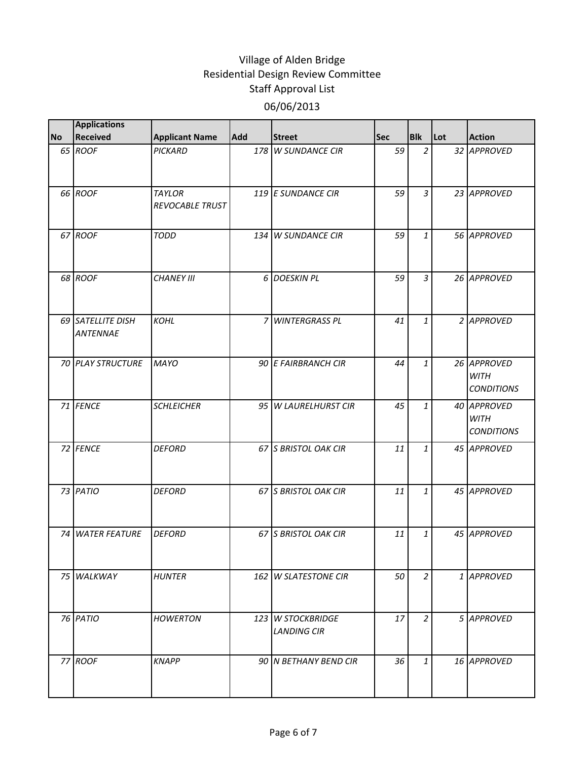|           | <b>Applications</b>                  |                                  |     |                                         |            |                |     |                                                 |
|-----------|--------------------------------------|----------------------------------|-----|-----------------------------------------|------------|----------------|-----|-------------------------------------------------|
| <b>No</b> | Received                             | <b>Applicant Name</b>            | Add | <b>Street</b>                           | <b>Sec</b> | <b>Blk</b>     | Lot | <b>Action</b>                                   |
|           | 65 ROOF                              | PICKARD                          |     | 178 W SUNDANCE CIR                      | 59         | $\overline{2}$ |     | 32 APPROVED                                     |
|           | 66 ROOF                              | <b>TAYLOR</b><br>REVOCABLE TRUST |     | 119 E SUNDANCE CIR                      | 59         | $\overline{3}$ |     | 23 APPROVED                                     |
|           | 67 ROOF                              | <b>TODD</b>                      |     | 134 W SUNDANCE CIR                      | 59         | $\mathbf{1}$   |     | 56 APPROVED                                     |
|           | 68 ROOF                              | <b>CHANEY III</b>                |     | 6 DOESKIN PL                            | 59         | $\mathfrak{Z}$ |     | 26 APPROVED                                     |
|           | 69 SATELLITE DISH<br><b>ANTENNAE</b> | <b>KOHL</b>                      |     | 7 WINTERGRASS PL                        | 41         | $\mathbf{1}$   |     | 2 APPROVED                                      |
|           | 70 PLAY STRUCTURE                    | <b>MAYO</b>                      |     | 90 E FAIRBRANCH CIR                     | 44         | $\mathbf{1}$   |     | 26 APPROVED<br><b>WITH</b><br><b>CONDITIONS</b> |
|           | 71 FENCE                             | <b>SCHLEICHER</b>                |     | 95 W LAURELHURST CIR                    | 45         | 1              |     | 40 APPROVED<br><b>WITH</b><br><b>CONDITIONS</b> |
|           | 72 FENCE                             | <b>DEFORD</b>                    |     | 67 S BRISTOL OAK CIR                    | 11         | $\mathbf{1}$   |     | 45 APPROVED                                     |
|           | 73 PATIO                             | <b>DEFORD</b>                    |     | 67 S BRISTOL OAK CIR                    | 11         | $\mathbf{1}$   |     | 45 APPROVED                                     |
|           | <b>74 WATER FEATURE</b>              | <b>DEFORD</b>                    |     | 67 S BRISTOL OAK CIR                    | 11         | $\mathbf{1}$   |     | 45 APPROVED                                     |
|           | 75 WALKWAY                           | <b>HUNTER</b>                    |     | 162 W SLATESTONE CIR                    | 50         | $\overline{a}$ |     | 1 APPROVED                                      |
|           | 76 PATIO                             | <b>HOWERTON</b>                  |     | 123 W STOCKBRIDGE<br><b>LANDING CIR</b> | 17         | $\overline{a}$ |     | 5 APPROVED                                      |
|           | 77 ROOF                              | <b>KNAPP</b>                     |     | 90 N BETHANY BEND CIR                   | 36         | $\mathbf{1}$   |     | 16 APPROVED                                     |